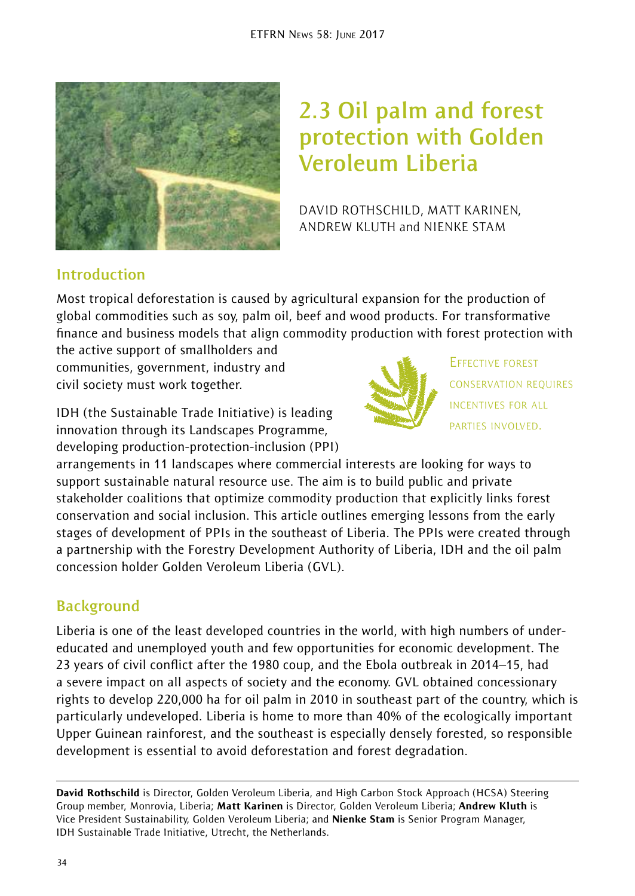

# **2.3 Oil palm and forest protection with Golden Veroleum Liberia**

DAVID ROTHSCHILD, MATT KARINEN, ANDREW KLUTH and NIENKE STAM

#### **Introduction**

Most tropical deforestation is caused by agricultural expansion for the production of global commodities such as soy, palm oil, beef and wood products. For transformative finance and business models that align commodity production with forest protection with

the active support of smallholders and communities, government, industry and civil society must work together.

IDH (the Sustainable Trade Initiative) is leading innovation through its Landscapes Programme, developing production-protection-inclusion (PPI)



EFFECTIVE FOREST CONSERVATION REQUIRES INCENTIVES FOR ALL PARTIES INVOLVED.

arrangements in 11 landscapes where commercial interests are looking for ways to support sustainable natural resource use. The aim is to build public and private stakeholder coalitions that optimize commodity production that explicitly links forest conservation and social inclusion. This article outlines emerging lessons from the early stages of development of PPIs in the southeast of Liberia. The PPIs were created through a partnership with the Forestry Development Authority of Liberia, IDH and the oil palm concession holder Golden Veroleum Liberia (GVL).

# **Background**

Liberia is one of the least developed countries in the world, with high numbers of undereducated and unemployed youth and few opportunities for economic development. The 23 years of civil conflict after the 1980 coup, and the Ebola outbreak in 2014–15, had a severe impact on all aspects of society and the economy. GVL obtained concessionary rights to develop 220,000 ha for oil palm in 2010 in southeast part of the country, which is particularly undeveloped. Liberia is home to more than 40% of the ecologically important Upper Guinean rainforest, and the southeast is especially densely forested, so responsible development is essential to avoid deforestation and forest degradation.

David Rothschild is Director, Golden Veroleum Liberia, and High Carbon Stock Approach (HCSA) Steering Group member, Monrovia, Liberia; Matt Karinen is Director, Golden Veroleum Liberia; Andrew Kluth is Vice President Sustainability, Golden Veroleum Liberia; and Nienke Stam is Senior Program Manager, IDH Sustainable Trade Initiative, Utrecht, the Netherlands.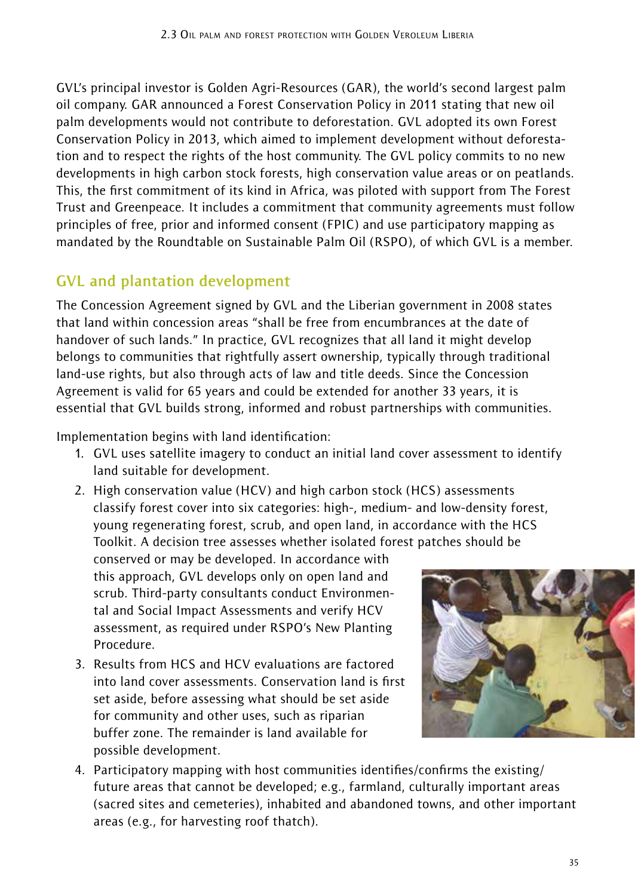GVL's principal investor is Golden Agri-Resources (GAR), the world's second largest palm oil company. GAR announced a Forest Conservation Policy in 2011 stating that new oil palm developments would not contribute to deforestation. GVL adopted its own Forest Conservation Policy in 2013, which aimed to implement development without deforestation and to respect the rights of the host community. The GVL policy commits to no new developments in high carbon stock forests, high conservation value areas or on peatlands. This, the first commitment of its kind in Africa, was piloted with support from The Forest Trust and Greenpeace. It includes a commitment that community agreements must follow principles of free, prior and informed consent (FPIC) and use participatory mapping as mandated by the Roundtable on Sustainable Palm Oil (RSPO), of which GVL is a member.

# **GVL and plantation development**

The Concession Agreement signed by GVL and the Liberian government in 2008 states that land within concession areas "shall be free from encumbrances at the date of handover of such lands." In practice, GVL recognizes that all land it might develop belongs to communities that rightfully assert ownership, typically through traditional land-use rights, but also through acts of law and title deeds. Since the Concession Agreement is valid for 65 years and could be extended for another 33 years, it is essential that GVL builds strong, informed and robust partnerships with communities.

Implementation begins with land identification:

- 1. GVL uses satellite imagery to conduct an initial land cover assessment to identify land suitable for development.
- 2. High conservation value (HCV) and high carbon stock (HCS) assessments classify forest cover into six categories: high-, medium- and low-density forest, young regenerating forest, scrub, and open land, in accordance with the HCS Toolkit. A decision tree assesses whether isolated forest patches should be

conserved or may be developed. In accordance with this approach, GVL develops only on open land and scrub. Third-party consultants conduct Environmental and Social Impact Assessments and verify HCV assessment, as required under RSPO's New Planting Procedure.

3. Results from HCS and HCV evaluations are factored into land cover assessments. Conservation land is first set aside, before assessing what should be set aside for community and other uses, such as riparian buffer zone. The remainder is land available for possible development.



4. Participatory mapping with host communities identifies/confirms the existing/ future areas that cannot be developed; e.g., farmland, culturally important areas (sacred sites and cemeteries), inhabited and abandoned towns, and other important areas (e.g., for harvesting roof thatch).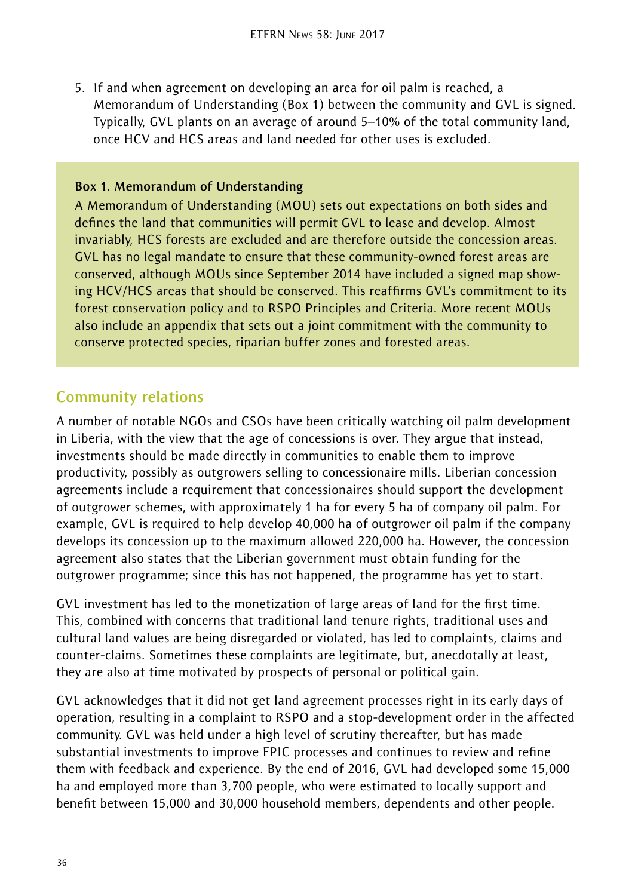5. If and when agreement on developing an area for oil palm is reached, a Memorandum of Understanding (Box 1) between the community and GVL is signed. Typically, GVL plants on an average of around 5–10% of the total community land, once HCV and HCS areas and land needed for other uses is excluded.

#### **Box 1. Memorandum of Understanding**

A Memorandum of Understanding (MOU) sets out expectations on both sides and defines the land that communities will permit GVL to lease and develop. Almost invariably, HCS forests are excluded and are therefore outside the concession areas. GVL has no legal mandate to ensure that these community-owned forest areas are conserved, although MOUs since September 2014 have included a signed map showing HCV/HCS areas that should be conserved. This reaffirms GVL's commitment to its forest conservation policy and to RSPO Principles and Criteria. More recent MOUs also include an appendix that sets out a joint commitment with the community to conserve protected species, riparian buffer zones and forested areas.

#### **Community relations**

A number of notable NGOs and CSOs have been critically watching oil palm development in Liberia, with the view that the age of concessions is over. They argue that instead, investments should be made directly in communities to enable them to improve productivity, possibly as outgrowers selling to concessionaire mills. Liberian concession agreements include a requirement that concessionaires should support the development of outgrower schemes, with approximately 1 ha for every 5 ha of company oil palm. For example, GVL is required to help develop 40,000 ha of outgrower oil palm if the company develops its concession up to the maximum allowed 220,000 ha. However, the concession agreement also states that the Liberian government must obtain funding for the outgrower programme; since this has not happened, the programme has yet to start.

GVL investment has led to the monetization of large areas of land for the first time. This, combined with concerns that traditional land tenure rights, traditional uses and cultural land values are being disregarded or violated, has led to complaints, claims and counter-claims. Sometimes these complaints are legitimate, but, anecdotally at least, they are also at time motivated by prospects of personal or political gain.

GVL acknowledges that it did not get land agreement processes right in its early days of operation, resulting in a complaint to RSPO and a stop-development order in the affected community. GVL was held under a high level of scrutiny thereafter, but has made substantial investments to improve FPIC processes and continues to review and refine them with feedback and experience. By the end of 2016, GVL had developed some 15,000 ha and employed more than 3,700 people, who were estimated to locally support and benefit between 15,000 and 30,000 household members, dependents and other people.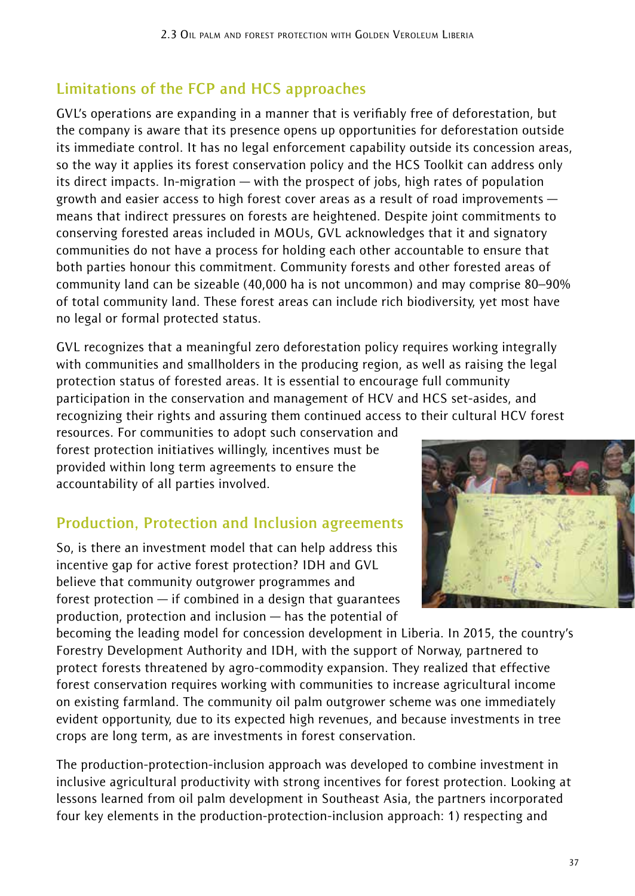# **Limitations of the FCP and HCS approaches**

GVL's operations are expanding in a manner that is verifiably free of deforestation, but the company is aware that its presence opens up opportunities for deforestation outside its immediate control. It has no legal enforcement capability outside its concession areas, so the way it applies its forest conservation policy and the HCS Toolkit can address only its direct impacts. In-migration — with the prospect of jobs, high rates of population growth and easier access to high forest cover areas as a result of road improvements means that indirect pressures on forests are heightened. Despite joint commitments to conserving forested areas included in MOUs, GVL acknowledges that it and signatory communities do not have a process for holding each other accountable to ensure that both parties honour this commitment. Community forests and other forested areas of community land can be sizeable (40,000 ha is not uncommon) and may comprise 80–90% of total community land. These forest areas can include rich biodiversity, yet most have no legal or formal protected status.

GVL recognizes that a meaningful zero deforestation policy requires working integrally with communities and smallholders in the producing region, as well as raising the legal protection status of forested areas. It is essential to encourage full community participation in the conservation and management of HCV and HCS set-asides, and recognizing their rights and assuring them continued access to their cultural HCV forest

resources. For communities to adopt such conservation and forest protection initiatives willingly, incentives must be provided within long term agreements to ensure the accountability of all parties involved.

#### **Production, Protection and Inclusion agreements**

So, is there an investment model that can help address this incentive gap for active forest protection? IDH and GVL believe that community outgrower programmes and forest protection — if combined in a design that guarantees production, protection and inclusion — has the potential of



becoming the leading model for concession development in Liberia. In 2015, the country's Forestry Development Authority and IDH, with the support of Norway, partnered to protect forests threatened by agro-commodity expansion. They realized that effective forest conservation requires working with communities to increase agricultural income on existing farmland. The community oil palm outgrower scheme was one immediately evident opportunity, due to its expected high revenues, and because investments in tree crops are long term, as are investments in forest conservation.

The production-protection-inclusion approach was developed to combine investment in inclusive agricultural productivity with strong incentives for forest protection. Looking at lessons learned from oil palm development in Southeast Asia, the partners incorporated four key elements in the production-protection-inclusion approach: 1) respecting and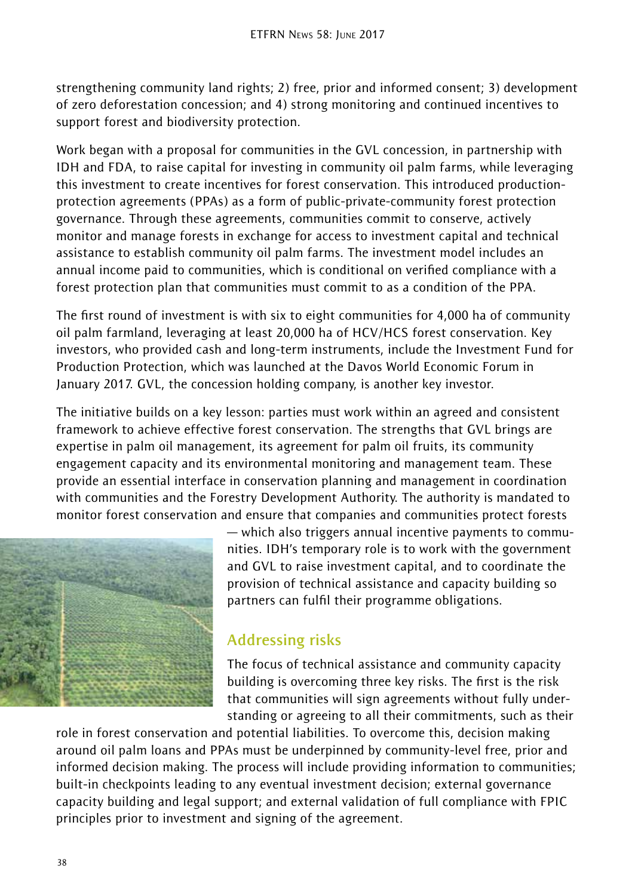strengthening community land rights; 2) free, prior and informed consent; 3) development of zero deforestation concession; and 4) strong monitoring and continued incentives to support forest and biodiversity protection.

Work began with a proposal for communities in the GVL concession, in partnership with IDH and FDA, to raise capital for investing in community oil palm farms, while leveraging this investment to create incentives for forest conservation. This introduced productionprotection agreements (PPAs) as a form of public-private-community forest protection governance. Through these agreements, communities commit to conserve, actively monitor and manage forests in exchange for access to investment capital and technical assistance to establish community oil palm farms. The investment model includes an annual income paid to communities, which is conditional on verified compliance with a forest protection plan that communities must commit to as a condition of the PPA.

The first round of investment is with six to eight communities for 4,000 ha of community oil palm farmland, leveraging at least 20,000 ha of HCV/HCS forest conservation. Key investors, who provided cash and long-term instruments, include the Investment Fund for Production Protection, which was launched at the Davos World Economic Forum in January 2017. GVL, the concession holding company, is another key investor.

The initiative builds on a key lesson: parties must work within an agreed and consistent framework to achieve effective forest conservation. The strengths that GVL brings are expertise in palm oil management, its agreement for palm oil fruits, its community engagement capacity and its environmental monitoring and management team. These provide an essential interface in conservation planning and management in coordination with communities and the Forestry Development Authority. The authority is mandated to monitor forest conservation and ensure that companies and communities protect forests



— which also triggers annual incentive payments to communities. IDH's temporary role is to work with the government and GVL to raise investment capital, and to coordinate the provision of technical assistance and capacity building so partners can fulfil their programme obligations.

# **Addressing risks**

The focus of technical assistance and community capacity building is overcoming three key risks. The first is the risk that communities will sign agreements without fully understanding or agreeing to all their commitments, such as their

role in forest conservation and potential liabilities. To overcome this, decision making around oil palm loans and PPAs must be underpinned by community-level free, prior and informed decision making. The process will include providing information to communities; built-in checkpoints leading to any eventual investment decision; external governance capacity building and legal support; and external validation of full compliance with FPIC principles prior to investment and signing of the agreement.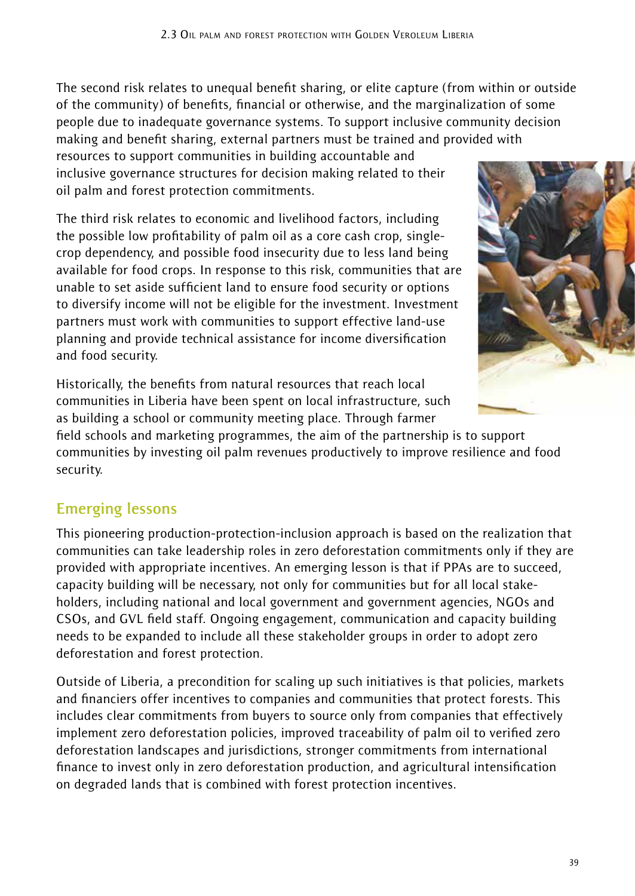The second risk relates to unequal benefit sharing, or elite capture (from within or outside of the community) of benefits, financial or otherwise, and the marginalization of some people due to inadequate governance systems. To support inclusive community decision making and benefit sharing, external partners must be trained and provided with

resources to support communities in building accountable and inclusive governance structures for decision making related to their oil palm and forest protection commitments.

The third risk relates to economic and livelihood factors, including the possible low profitability of palm oil as a core cash crop, singlecrop dependency, and possible food insecurity due to less land being available for food crops. In response to this risk, communities that are unable to set aside sufficient land to ensure food security or options to diversify income will not be eligible for the investment. Investment partners must work with communities to support effective land-use planning and provide technical assistance for income diversification and food security.



Historically, the benefits from natural resources that reach local communities in Liberia have been spent on local infrastructure, such as building a school or community meeting place. Through farmer

field schools and marketing programmes, the aim of the partnership is to support communities by investing oil palm revenues productively to improve resilience and food security.

# **Emerging lessons**

This pioneering production-protection-inclusion approach is based on the realization that communities can take leadership roles in zero deforestation commitments only if they are provided with appropriate incentives. An emerging lesson is that if PPAs are to succeed, capacity building will be necessary, not only for communities but for all local stakeholders, including national and local government and government agencies, NGOs and CSOs, and GVL field staff. Ongoing engagement, communication and capacity building needs to be expanded to include all these stakeholder groups in order to adopt zero deforestation and forest protection.

Outside of Liberia, a precondition for scaling up such initiatives is that policies, markets and financiers offer incentives to companies and communities that protect forests. This includes clear commitments from buyers to source only from companies that effectively implement zero deforestation policies, improved traceability of palm oil to verified zero deforestation landscapes and jurisdictions, stronger commitments from international finance to invest only in zero deforestation production, and agricultural intensification on degraded lands that is combined with forest protection incentives.